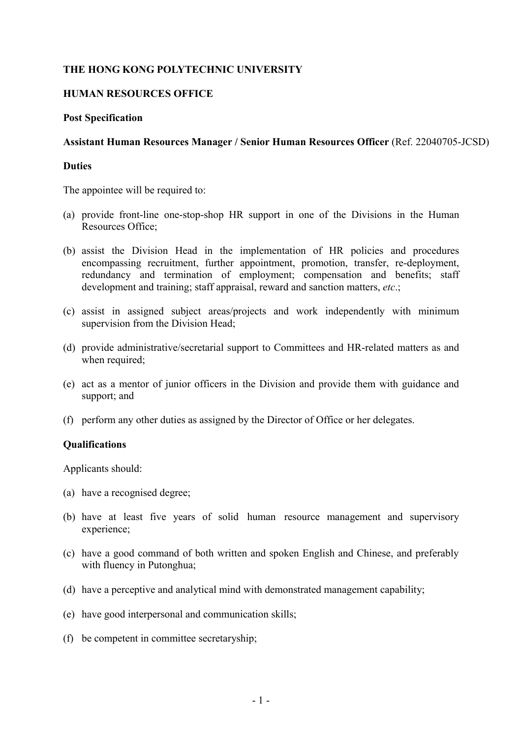# **THE HONG KONG POLYTECHNIC UNIVERSITY**

## **HUMAN RESOURCES OFFICE**

#### **Post Specification**

## **Assistant Human Resources Manager / Senior Human Resources Officer** (Ref. 22040705-JCSD)

#### **Duties**

The appointee will be required to:

- (a) provide front-line one-stop-shop HR support in one of the Divisions in the Human Resources Office;
- (b) assist the Division Head in the implementation of HR policies and procedures encompassing recruitment, further appointment, promotion, transfer, re-deployment, redundancy and termination of employment; compensation and benefits; staff development and training; staff appraisal, reward and sanction matters, *etc*.;
- (c) assist in assigned subject areas/projects and work independently with minimum supervision from the Division Head;
- (d) provide administrative/secretarial support to Committees and HR-related matters as and when required;
- (e) act as a mentor of junior officers in the Division and provide them with guidance and support; and
- (f) perform any other duties as assigned by the Director of Office or her delegates.

## **Qualifications**

Applicants should:

- (a) have a recognised degree;
- (b) have at least five years of solid human resource management and supervisory experience;
- (c) have a good command of both written and spoken English and Chinese, and preferably with fluency in Putonghua;
- (d) have a perceptive and analytical mind with demonstrated management capability;
- (e) have good interpersonal and communication skills;
- (f) be competent in committee secretaryship;